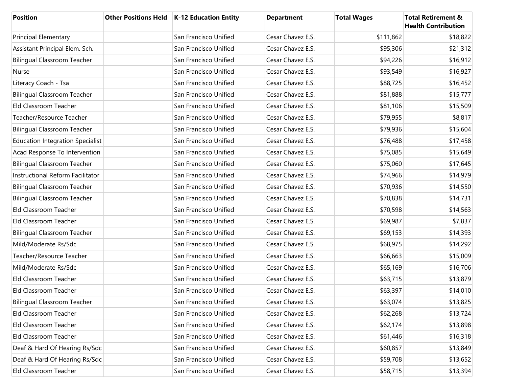| <b>Position</b>                         | Other Positions Held   K-12 Education Entity | <b>Department</b> | <b>Total Wages</b> | <b>Total Retirement &amp;</b><br><b>Health Contribution</b> |
|-----------------------------------------|----------------------------------------------|-------------------|--------------------|-------------------------------------------------------------|
| <b>Principal Elementary</b>             | San Francisco Unified                        | Cesar Chavez E.S. | \$111,862          | \$18,822                                                    |
| Assistant Principal Elem. Sch.          | San Francisco Unified                        | Cesar Chavez E.S. | \$95,306           | \$21,312                                                    |
| <b>Bilingual Classroom Teacher</b>      | San Francisco Unified                        | Cesar Chavez E.S. | \$94,226           | \$16,912                                                    |
| Nurse                                   | San Francisco Unified                        | Cesar Chavez E.S. | \$93,549           | \$16,927                                                    |
| Literacy Coach - Tsa                    | San Francisco Unified                        | Cesar Chavez E.S. | \$88,725           | \$16,452                                                    |
| <b>Bilingual Classroom Teacher</b>      | San Francisco Unified                        | Cesar Chavez E.S. | \$81,888           | \$15,777                                                    |
| Eld Classroom Teacher                   | San Francisco Unified                        | Cesar Chavez E.S. | \$81,106           | \$15,509                                                    |
| Teacher/Resource Teacher                | San Francisco Unified                        | Cesar Chavez E.S. | \$79,955           | \$8,817                                                     |
| <b>Bilingual Classroom Teacher</b>      | San Francisco Unified                        | Cesar Chavez E.S. | \$79,936           | \$15,604                                                    |
| <b>Education Integration Specialist</b> | San Francisco Unified                        | Cesar Chavez E.S. | \$76,488           | \$17,458                                                    |
| Acad Response To Intervention           | San Francisco Unified                        | Cesar Chavez E.S. | \$75,085           | \$15,649                                                    |
| <b>Bilingual Classroom Teacher</b>      | San Francisco Unified                        | Cesar Chavez E.S. | \$75,060           | \$17,645                                                    |
| <b>Instructional Reform Facilitator</b> | San Francisco Unified                        | Cesar Chavez E.S. | \$74,966           | \$14,979                                                    |
| <b>Bilingual Classroom Teacher</b>      | San Francisco Unified                        | Cesar Chavez E.S. | \$70,936           | \$14,550                                                    |
| <b>Bilingual Classroom Teacher</b>      | San Francisco Unified                        | Cesar Chavez E.S. | \$70,838           | \$14,731                                                    |
| Eld Classroom Teacher                   | San Francisco Unified                        | Cesar Chavez E.S. | \$70,598           | \$14,563                                                    |
| Eld Classroom Teacher                   | San Francisco Unified                        | Cesar Chavez E.S. | \$69,987           | \$7,837                                                     |
| <b>Bilingual Classroom Teacher</b>      | San Francisco Unified                        | Cesar Chavez E.S. | \$69,153           | \$14,393                                                    |
| Mild/Moderate Rs/Sdc                    | San Francisco Unified                        | Cesar Chavez E.S. | \$68,975           | \$14,292                                                    |
| Teacher/Resource Teacher                | San Francisco Unified                        | Cesar Chavez E.S. | \$66,663           | \$15,009                                                    |
| Mild/Moderate Rs/Sdc                    | San Francisco Unified                        | Cesar Chavez E.S. | \$65,169           | \$16,706                                                    |
| Eld Classroom Teacher                   | San Francisco Unified                        | Cesar Chavez E.S. | \$63,715           | \$13,879                                                    |
| Eld Classroom Teacher                   | San Francisco Unified                        | Cesar Chavez E.S. | \$63,397           | \$14,010                                                    |
| <b>Bilingual Classroom Teacher</b>      | San Francisco Unified                        | Cesar Chavez E.S. | \$63,074           | \$13,825                                                    |
| Eld Classroom Teacher                   | San Francisco Unified                        | Cesar Chavez E.S. | \$62,268           | \$13,724                                                    |
| Eld Classroom Teacher                   | San Francisco Unified                        | Cesar Chavez E.S. | \$62,174           | \$13,898                                                    |
| Eld Classroom Teacher                   | San Francisco Unified                        | Cesar Chavez E.S. | \$61,446           | \$16,318                                                    |
| Deaf & Hard Of Hearing Rs/Sdc           | San Francisco Unified                        | Cesar Chavez E.S. | \$60,857           | \$13,849                                                    |
| Deaf & Hard Of Hearing Rs/Sdc           | San Francisco Unified                        | Cesar Chavez E.S. | \$59,708           | \$13,652                                                    |
| Eld Classroom Teacher                   | San Francisco Unified                        | Cesar Chavez E.S. | \$58,715           | \$13,394                                                    |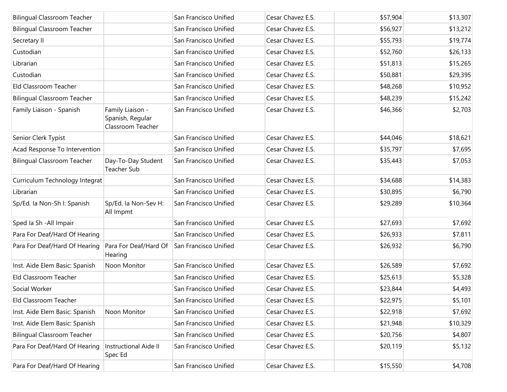| <b>Bilingual Classroom Teacher</b> |                                                           | San Francisco Unified | Cesar Chavez E.S. | \$57,904 | \$13,307 |
|------------------------------------|-----------------------------------------------------------|-----------------------|-------------------|----------|----------|
| <b>Bilingual Classroom Teacher</b> |                                                           | San Francisco Unified | Cesar Chavez E.S. | \$56,927 | \$13,212 |
| Secretary II                       |                                                           | San Francisco Unified | Cesar Chavez E.S. | \$55,793 | \$19,774 |
| Custodian                          |                                                           | San Francisco Unified | Cesar Chavez E.S. | \$52,760 | \$26,133 |
| Librarian                          |                                                           | San Francisco Unified | Cesar Chavez E.S. | \$51,813 | \$15,265 |
| Custodian                          |                                                           | San Francisco Unified | Cesar Chavez E.S. | \$50,881 | \$29,395 |
| Eld Classroom Teacher              |                                                           | San Francisco Unified | Cesar Chavez E.S. | \$48,268 | \$10,952 |
| <b>Bilingual Classroom Teacher</b> |                                                           | San Francisco Unified | Cesar Chavez E.S. | \$48,239 | \$15,242 |
| Family Liaison - Spanish           | Family Liaison -<br>Spanish, Regular<br>Classroom Teacher | San Francisco Unified | Cesar Chavez E.S. | \$46,366 | \$2,703  |
| Senior Clerk Typist                |                                                           | San Francisco Unified | Cesar Chavez E.S. | \$44,046 | \$18,621 |
| Acad Response To Intervention      |                                                           | San Francisco Unified | Cesar Chavez E.S. | \$35,797 | \$7,695  |
| <b>Bilingual Classroom Teacher</b> | Day-To-Day Student<br>Teacher Sub                         | San Francisco Unified | Cesar Chavez E.S. | \$35,443 | \$7,053  |
| Curriculum Technology Integrat     |                                                           | San Francisco Unified | Cesar Chavez E.S. | \$34,688 | \$14,383 |
| Librarian                          |                                                           | San Francisco Unified | Cesar Chavez E.S. | \$30,895 | \$6,790  |
| Sp/Ed. la Non-Sh I: Spanish        | Sp/Ed. la Non-Sev H:<br>All Impmt                         | San Francisco Unified | Cesar Chavez E.S. | \$29,289 | \$10,364 |
| Sped Ia Sh - All Impair            |                                                           | San Francisco Unified | Cesar Chavez E.S. | \$27,693 | \$7,692  |
| Para For Deaf/Hard Of Hearing      |                                                           | San Francisco Unified | Cesar Chavez E.S. | \$26,933 | \$7,811  |
| Para For Deaf/Hard Of Hearing      | Para For Deaf/Hard Of<br>Hearing                          | San Francisco Unified | Cesar Chavez E.S. | \$26,932 | \$6,790  |
| Inst. Aide Elem Basic: Spanish     | Noon Monitor                                              | San Francisco Unified | Cesar Chavez E.S. | \$26,589 | \$7,692  |
| Eld Classroom Teacher              |                                                           | San Francisco Unified | Cesar Chavez E.S. | \$25,613 | \$5,328  |
| Social Worker                      |                                                           | San Francisco Unified | Cesar Chavez E.S. | \$23,844 | \$4,493  |
| Eld Classroom Teacher              |                                                           | San Francisco Unified | Cesar Chavez E.S. | \$22,975 | \$5,101  |
| Inst. Aide Elem Basic: Spanish     | Noon Monitor                                              | San Francisco Unified | Cesar Chavez E.S. | \$22,918 | \$7,692  |
| Inst. Aide Elem Basic: Spanish     |                                                           | San Francisco Unified | Cesar Chavez E.S. | \$21,948 | \$10,329 |
| <b>Bilingual Classroom Teacher</b> |                                                           | San Francisco Unified | Cesar Chavez E.S. | \$20,756 | \$4,807  |
| Para For Deaf/Hard Of Hearing      | <b>Instructional Aide II</b><br>Spec Ed                   | San Francisco Unified | Cesar Chavez E.S. | \$20,119 | \$5,132  |
| Para For Deaf/Hard Of Hearing      |                                                           | San Francisco Unified | Cesar Chavez E.S. | \$15,550 | \$4,708  |